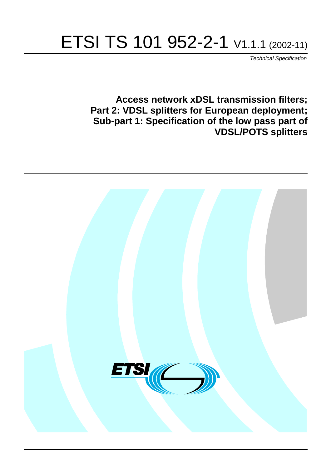# ETSI TS 101 952-2-1 V1.1.1 (2002-11)

Technical Specification

**Access network xDSL transmission filters; Part 2: VDSL splitters for European deployment; Sub-part 1: Specification of the low pass part of VDSL/POTS splitters**

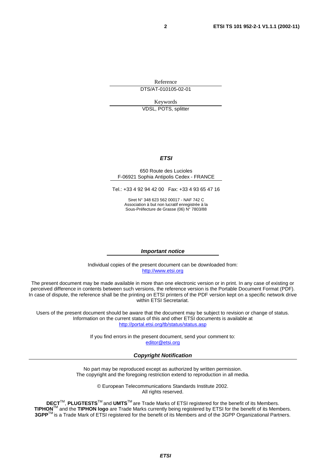Reference DTS/AT-010105-02-01

Keywords VDSL, POTS, splitter

#### **ETSI**

#### 650 Route des Lucioles F-06921 Sophia Antipolis Cedex - FRANCE

Tel.: +33 4 92 94 42 00 Fax: +33 4 93 65 47 16

Siret N° 348 623 562 00017 - NAF 742 C Association à but non lucratif enregistrée à la Sous-Préfecture de Grasse (06) N° 7803/88

#### **Important notice**

Individual copies of the present document can be downloaded from: [http://www.etsi.org](http://www.etsi.org/)

The present document may be made available in more than one electronic version or in print. In any case of existing or perceived difference in contents between such versions, the reference version is the Portable Document Format (PDF). In case of dispute, the reference shall be the printing on ETSI printers of the PDF version kept on a specific network drive within ETSI Secretariat.

Users of the present document should be aware that the document may be subject to revision or change of status. Information on the current status of this and other ETSI documents is available at <http://portal.etsi.org/tb/status/status.asp>

> If you find errors in the present document, send your comment to: [editor@etsi.org](mailto:editor@etsi.org)

#### **Copyright Notification**

No part may be reproduced except as authorized by written permission. The copyright and the foregoing restriction extend to reproduction in all media.

> © European Telecommunications Standards Institute 2002. All rights reserved.

**DECT**TM, **PLUGTESTS**TM and **UMTS**TM are Trade Marks of ETSI registered for the benefit of its Members. **TIPHON**TM and the **TIPHON logo** are Trade Marks currently being registered by ETSI for the benefit of its Members. **3GPP**TM is a Trade Mark of ETSI registered for the benefit of its Members and of the 3GPP Organizational Partners.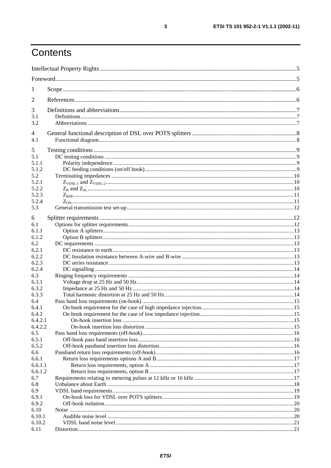# Contents

| $\mathbf{I}$     |  |
|------------------|--|
| 2                |  |
| 3                |  |
| 3.1              |  |
| 3.2              |  |
| 4                |  |
| 4.1              |  |
| 5                |  |
| 5.1              |  |
| 5.1.1            |  |
| 5.1.2            |  |
| 5.2              |  |
| 5.2.1            |  |
| 5.2.2            |  |
| 5.2.3            |  |
| 5.2.4            |  |
| 5.3              |  |
| 6                |  |
| 6.1              |  |
| 6.1.1            |  |
| 6.1.2            |  |
| 6.2              |  |
| 6.2.1            |  |
| 6.2.2            |  |
| 6.2.3            |  |
| 6.2.4            |  |
| 6.3              |  |
| 6.3.1            |  |
| 6.3.2            |  |
| 6.3.3            |  |
| 6.4              |  |
| 6.4.1            |  |
| 6.4.2<br>6.4.2.1 |  |
| 6.4.2.2          |  |
| 6.5              |  |
| 6.5.1            |  |
| 6.5.2            |  |
| 6.6              |  |
| 6.6.1            |  |
| 6.6.1.1          |  |
| 6.6.1.2          |  |
| 6.7              |  |
| 6.8              |  |
| 6.9              |  |
| 6.9.1            |  |
| 6.9.2            |  |
| 6.10             |  |
| 6.10.1           |  |
| 6.10.2<br>6.11   |  |
|                  |  |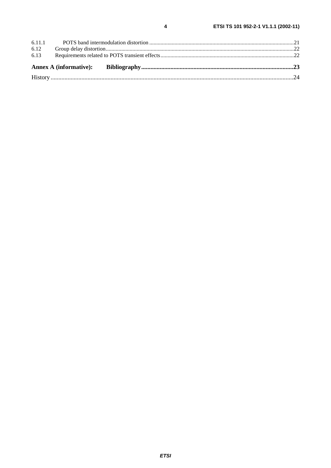| 6.13 |  |  |
|------|--|--|
| 6.12 |  |  |
|      |  |  |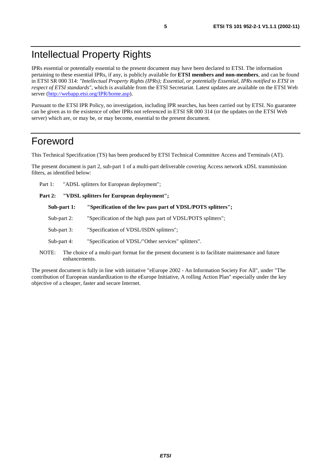# Intellectual Property Rights

IPRs essential or potentially essential to the present document may have been declared to ETSI. The information pertaining to these essential IPRs, if any, is publicly available for **ETSI members and non-members**, and can be found in ETSI SR 000 314: *"Intellectual Property Rights (IPRs); Essential, or potentially Essential, IPRs notified to ETSI in respect of ETSI standards"*, which is available from the ETSI Secretariat. Latest updates are available on the ETSI Web server (<http://webapp.etsi.org/IPR/home.asp>).

Pursuant to the ETSI IPR Policy, no investigation, including IPR searches, has been carried out by ETSI. No guarantee can be given as to the existence of other IPRs not referenced in ETSI SR 000 314 (or the updates on the ETSI Web server) which are, or may be, or may become, essential to the present document.

# Foreword

This Technical Specification (TS) has been produced by ETSI Technical Committee Access and Terminals (AT).

The present document is part 2, sub-part 1 of a multi-part deliverable covering Access network xDSL transmission filters, as identified below:

Part 1: "ADSL splitters for European deployment";

Part 2: "VDSL splitters for European deployment";

- Sub-part 1: "Specification of the low pass part of VDSL/POTS splitters";
- Sub-part 2: "Specification of the high pass part of VDSL/POTS splitters";
- Sub-part 3: "Specification of VDSL/ISDN splitters";
- Sub-part 4: "Specification of VDSL/"Other services" splitters".
- NOTE: The choice of a multi-part format for the present document is to facilitate maintenance and future enhancements.

The present document is fully in line with initiative "eEurope 2002 - An Information Society For All", under "The contribution of European standardization to the eEurope Initiative, A rolling Action Plan" especially under the key objective of a cheaper, faster and secure Internet.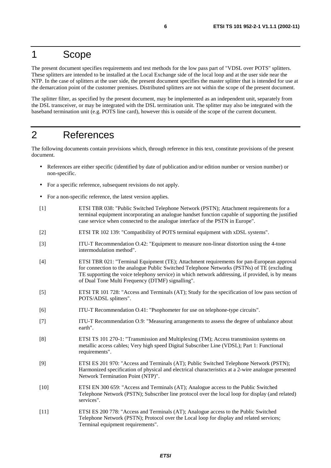# 1 Scope

The present document specifies requirements and test methods for the low pass part of "VDSL over POTS" splitters. These splitters are intended to be installed at the Local Exchange side of the local loop and at the user side near the NTP. In the case of splitters at the user side, the present document specifies the master splitter that is intended for use at the demarcation point of the customer premises. Distributed splitters are not within the scope of the present document.

The splitter filter, as specified by the present document, may be implemented as an independent unit, separately from the DSL transceiver, or may be integrated with the DSL termination unit. The splitter may also be integrated with the baseband termination unit (e.g. POTS line card), however this is outside of the scope of the current document.

# 2 References

The following documents contain provisions which, through reference in this text, constitute provisions of the present document.

- References are either specific (identified by date of publication and/or edition number or version number) or non-specific.
- For a specific reference, subsequent revisions do not apply.
- For a non-specific reference, the latest version applies.
- [1] ETSI TBR 038: "Public Switched Telephone Network (PSTN); Attachment requirements for a terminal equipment incorporating an analogue handset function capable of supporting the justified case service when connected to the analogue interface of the PSTN in Europe".
- [2] ETSI TR 102 139: "Compatibility of POTS terminal equipment with xDSL systems".
- [3] ITU-T Recommendation O.42: "Equipment to measure non-linear distortion using the 4-tone intermodulation method".
- [4] ETSI TBR 021: "Terminal Equipment (TE); Attachment requirements for pan-European approval for connection to the analogue Public Switched Telephone Networks (PSTNs) of TE (excluding TE supporting the voice telephony service) in which network addressing, if provided, is by means of Dual Tone Multi Frequency (DTMF) signalling".
- [5] ETSI TR 101 728: "Access and Terminals (AT); Study for the specification of low pass section of POTS/ADSL splitters".
- [6] ITU-T Recommendation O.41: "Psophometer for use on telephone-type circuits".
- [7] ITU-T Recommendation O.9: "Measuring arrangements to assess the degree of unbalance about earth".
- [8] ETSI TS 101 270-1: "Transmission and Multiplexing (TM); Access transmission systems on metallic access cables; Very high speed Digital Subscriber Line (VDSL); Part 1: Functional requirements".
- [9] ETSI ES 201 970: "Access and Terminals (AT); Public Switched Telephone Network (PSTN); Harmonized specification of physical and electrical characteristics at a 2-wire analogue presented Network Termination Point (NTP)".
- [10] ETSI EN 300 659: "Access and Terminals (AT); Analogue access to the Public Switched Telephone Network (PSTN); Subscriber line protocol over the local loop for display (and related) services".
- [11] ETSI ES 200 778: "Access and Terminals (AT); Analogue access to the Public Switched Telephone Network (PSTN); Protocol over the Local loop for display and related services; Terminal equipment requirements".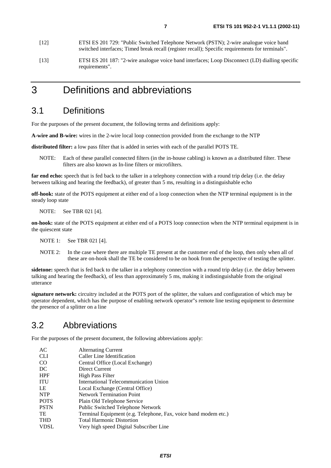- [12] ETSI ES 201 729: "Public Switched Telephone Network (PSTN); 2-wire analogue voice band switched interfaces; Timed break recall (register recall); Specific requirements for terminals".
- [13] ETSI ES 201 187: "2-wire analogue voice band interfaces; Loop Disconnect (LD) dialling specific requirements".

# 3 Definitions and abbreviations

# 3.1 Definitions

For the purposes of the present document, the following terms and definitions apply:

**A-wire and B-wire:** wires in the 2-wire local loop connection provided from the exchange to the NTP

**distributed filter:** a low pass filter that is added in series with each of the parallel POTS TE.

NOTE: Each of these parallel connected filters (in the in-house cabling) is known as a distributed filter. These filters are also known as In-line filters or microfilters.

**far end echo:** speech that is fed back to the talker in a telephony connection with a round trip delay (i.e. the delay between talking and hearing the feedback), of greater than 5 ms, resulting in a distinguishable echo

**off-hook:** state of the POTS equipment at either end of a loop connection when the NTP terminal equipment is in the steady loop state

NOTE: See TBR 021 [4].

**on-hook:** state of the POTS equipment at either end of a POTS loop connection when the NTP terminal equipment is in the quiescent state

NOTE 1: See TBR 021 [4].

NOTE 2: In the case where there are multiple TE present at the customer end of the loop, then only when all of these are on-hook shall the TE be considered to be on hook from the perspective of testing the splitter.

**sidetone:** speech that is fed back to the talker in a telephony connection with a round trip delay (i.e. the delay between talking and hearing the feedback), of less than approximately 5 ms, making it indistinguishable from the original utterance

**signature network:** circuitry included at the POTS port of the splitter, the values and configuration of which may be operator dependent, which has the purpose of enabling network operator"s remote line testing equipment to determine the presence of a splitter on a line

# 3.2 Abbreviations

For the purposes of the present document, the following abbreviations apply:

| AC            | <b>Alternating Current</b>                                      |
|---------------|-----------------------------------------------------------------|
| <b>CLI</b>    | Caller Line Identification                                      |
| <sub>CO</sub> | Central Office (Local Exchange)                                 |
| DC            | Direct Current                                                  |
| <b>HPF</b>    | <b>High Pass Filter</b>                                         |
| <b>ITU</b>    | International Telecommunication Union                           |
| LE            | Local Exchange (Central Office)                                 |
| <b>NTP</b>    | <b>Network Termination Point</b>                                |
| <b>POTS</b>   | Plain Old Telephone Service                                     |
| <b>PSTN</b>   | <b>Public Switched Telephone Network</b>                        |
| <b>TE</b>     | Terminal Equipment (e.g. Telephone, Fax, voice band modem etc.) |
| <b>THD</b>    | <b>Total Harmonic Distortion</b>                                |
| <b>VDSL</b>   | Very high speed Digital Subscriber Line                         |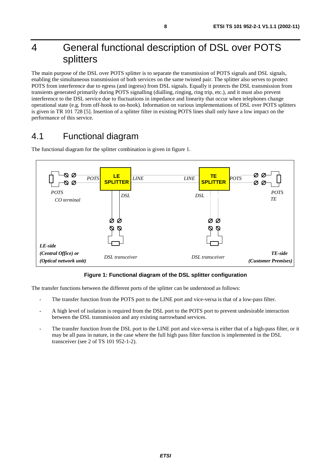# 4 General functional description of DSL over POTS splitters

The main purpose of the DSL over POTS splitter is to separate the transmission of POTS signals and DSL signals, enabling the simultaneous transmission of both services on the same twisted pair. The splitter also serves to protect POTS from interference due to egress (and ingress) from DSL signals. Equally it protects the DSL transmission from transients generated primarily during POTS signalling (dialling, ringing, ring trip, etc.), and it must also prevent interference to the DSL service due to fluctuations in impedance and linearity that occur when telephones change operational state (e.g. from off-hook to on-hook). Information on various implementations of DSL over POTS splitters is given in TR 101 728 [5]. Insertion of a splitter filter in existing POTS lines shall only have a low impact on the performance of this service.

# 4.1 Functional diagram



The functional diagram for the splitter combination is given in figure 1.

#### **Figure 1: Functional diagram of the DSL splitter configuration**

The transfer functions between the different ports of the splitter can be understood as follows:

- The transfer function from the POTS port to the LINE port and vice-versa is that of a low-pass filter.
- A high level of isolation is required from the DSL port to the POTS port to prevent undesirable interaction between the DSL transmission and any existing narrowband services.
- The transfer function from the DSL port to the LINE port and vice-versa is either that of a high-pass filter, or it may be all pass in nature, in the case where the full high pass filter function is implemented in the DSL transceiver (see 2 of TS 101 952-1-2).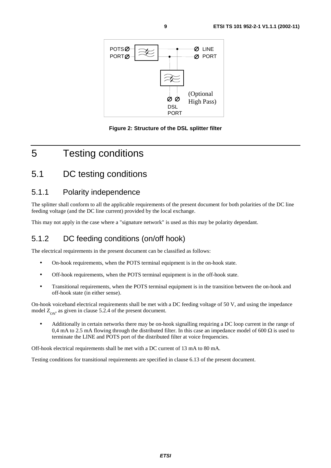

**Figure 2: Structure of the DSL splitter filter** 

# 5 Testing conditions

# 5.1 DC testing conditions

### 5.1.1 Polarity independence

The splitter shall conform to all the applicable requirements of the present document for both polarities of the DC line feeding voltage (and the DC line current) provided by the local exchange.

This may not apply in the case where a "signature network" is used as this may be polarity dependant.

## 5.1.2 DC feeding conditions (on/off hook)

The electrical requirements in the present document can be classified as follows:

- On-hook requirements, when the POTS terminal equipment is in the on-hook state.
- Off-hook requirements, when the POTS terminal equipment is in the off-hook state.
- Transitional requirements, when the POTS terminal equipment is in the transition between the on-hook and off-hook state (in either sense).

On-hook voiceband electrical requirements shall be met with a DC feeding voltage of 50 V, and using the impedance model  $Z_{\text{ON}}$ , as given in clause 5.2.4 of the present document.

• Additionally in certain networks there may be on-hook signalling requiring a DC loop current in the range of 0,4 mA to 2.5 mA flowing through the distributed filter. In this case an impedance model of 600  $\Omega$  is used to terminate the LINE and POTS port of the distributed filter at voice frequencies.

Off-hook electrical requirements shall be met with a DC current of 13 mA to 80 mA.

Testing conditions for transitional requirements are specified in clause 6.13 of the present document.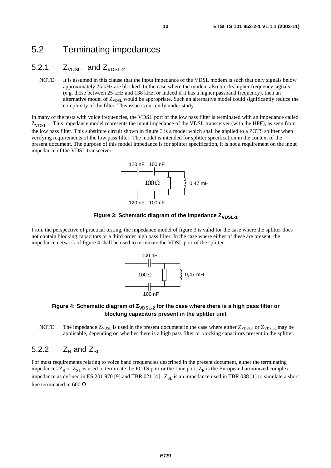# 5.2 Terminating impedances

# 5.2.1  $Z_{VDSL-1}$  and  $Z_{VDSL-2}$

NOTE: It is assumed in this clause that the input impedance of the VDSL modem is such that only signals below approximately 25 kHz are blocked. In the case where the modem also blocks higher frequency signals, (e.g. those between 25 kHz and 138 kHz, or indeed if it has a higher passband frequency), then an alternative model of  $Z_{VDSL}$  would be appropriate. Such an alternative model could significantly reduce the complexity of the filter. This issue is currently under study.

In many of the tests with voice frequencies, the VDSL port of the low pass filter is terminated with an impedance called  $Z_{VDSL-1}$ . This impedance model represents the input impedance of the VDSL transceiver (with the HPF), as seen from the low pass filter. This substitute circuit shown in figure 3 is a model which shall be applied to a POTS splitter when verifying requirements of the low pass filter. The model is intended for splitter specification in the context of the present document. The purpose of this model impedance is for splitter specification, it is not a requirement on the input impedance of the VDSL transceiver.





From the perspective of practical testing, the impedance model of figure 3 is valid for the case where the splitter does not contain blocking capacitors or a third order high pass filter. In the case where either of these are present, the impedance network of figure 4 shall be used to terminate the VDSL port of the splitter.



#### Figure 4: Schematic diagram of  $Z_{VDSL-2}$  for the case where there is a high pass filter or **blocking capacitors present in the splitter unit**

NOTE: The impedance  $Z_{VDSL}$  is used in the present document in the case where either  $Z_{VDSL-1}$  or  $Z_{VDSL-2}$  may be applicable, depending on whether there is a high pass filter or blocking capacitors present in the splitter.

### 5.2.2  $Z_R$  and  $Z_{SL}$

For most requirements relating to voice band frequencies described in the present document, either the terminating impedances  $Z_R$  or  $Z_{SL}$  is used to terminate the POTS port or the Line port.  $Z_R$  is the European harmonized complex impedance as defined in ES 201 970 [9] and TBR 021 [4],  $Z_{SL}$  is an impedance used in TBR 038 [1] to simulate a short line terminated in 600  $Ω$ .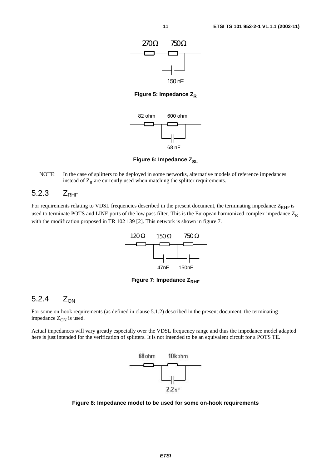

**Figure 5: Impedance Z<sub>R</sub>** 



**Figure 6: Impedance Z<sub>SL</sub>** 

NOTE: In the case of splitters to be deployed in some networks, alternative models of reference impedances instead of  $Z_R$  are currently used when matching the splitter requirements.

### $5.2.3$   $Z_{\text{PHE}}$

For requirements relating to VDSL frequencies described in the present document, the terminating impedance  $Z_{RHF}$  is used to terminate POTS and LINE ports of the low pass filter. This is the European harmonized complex impedance  $Z_R$ with the modification proposed in TR 102 139 [2]. This network is shown in figure 7.



**Figure 7: Impedance Z<sub>RHF</sub>** 

### 5.2.4  $Z_{ON}$

For some on-hook requirements (as defined in clause 5.1.2) described in the present document, the terminating impedance  $Z_{ON}$  is used.

Actual impedances will vary greatly especially over the VDSL frequency range and thus the impedance model adapted here is just intended for the verification of splitters. It is not intended to be an equivalent circuit for a POTS TE.



**Figure 8: Impedance model to be used for some on-hook requirements**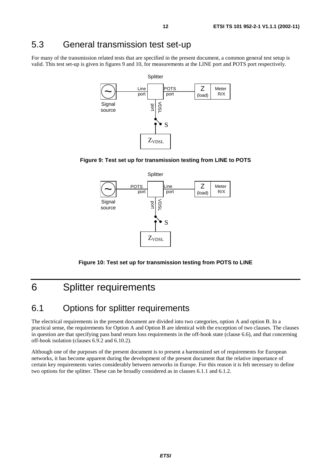# 5.3 General transmission test set-up

For many of the transmission related tests that are specified in the present document, a common general test setup is valid. This test set-up is given in figures 9 and 10, for measurements at the LINE port and POTS port respectively.









# 6 Splitter requirements

# 6.1 Options for splitter requirements

The electrical requirements in the present document are divided into two categories, option A and option B. In a practical sense, the requirements for Option A and Option B are identical with the exception of two clauses. The clauses in question are that specifying pass band return loss requirements in the off-hook state (clause 6.6), and that concerning off-hook isolation (clauses 6.9.2 and 6.10.2).

Although one of the purposes of the present document is to present a harmonized set of requirements for European networks, it has become apparent during the development of the present document that the relative importance of certain key requirements varies considerably between networks in Europe. For this reason it is felt necessary to define two options for the splitter. These can be broadly considered as in clauses 6.1.1 and 6.1.2.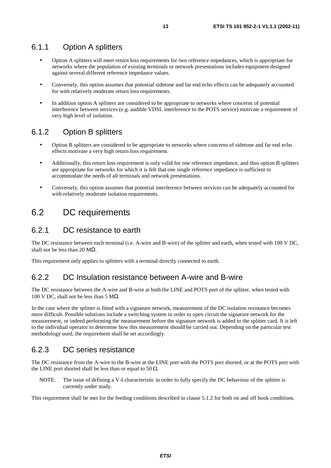### 6.1.1 Option A splitters

- Option A splitters will meet return loss requirements for two reference impedances, which is appropriate for networks where the population of existing terminals or network presentations includes equipment designed against several different reference impedance values.
- Conversely, this option assumes that potential sidetone and far end echo effects can be adequately accounted for with relatively moderate return loss requirements.
- In addition option A splitters are considered to be appropriate to networks where concerns of potential interference between services (e.g. audible VDSL interference to the POTS service) motivate a requirement of very high level of isolation.

### 6.1.2 Option B splitters

- Option B splitters are considered to be appropriate to networks where concerns of sidetone and far end echo effects motivate a very high return loss requirement.
- Additionally, this return loss requirement is only valid for one reference impedance, and thus option B splitters are appropriate for networks for which it is felt that one single reference impedance is sufficient to accommodate the needs of all terminals and network presentations.
- Conversely, this option assumes that potential interference between services can be adequately accounted for with relatively moderate isolation requirements.

# 6.2 DC requirements

### 6.2.1 DC resistance to earth

The DC resistance between each terminal (i.e. A-wire and B-wire) of the splitter and earth, when tested with 100 V DC, shall not be less than 20 M $\Omega$ .

This requirement only applies to splitters with a terminal directly connected to earth.

### 6.2.2 DC Insulation resistance between A-wire and B-wire

The DC resistance between the A-wire and B-wire at both the LINE and POTS port of the splitter, when tested with 100 V DC, shall not be less than 5 M $\Omega$ .

In the case where the splitter is fitted with a signature network, measurement of the DC isolation resistance becomes more difficult. Possible solutions include a switching system in order to open circuit the signature network for the measurement, or indeed performing the measurement before the signature network is added to the splitter card. It is left to the individual operator to determine how this measurement should be carried out. Depending on the particular test methodology used, the requirement shall be set accordingly.

### 6.2.3 DC series resistance

The DC resistance from the A-wire to the B-wire at the LINE port with the POTS port shorted, or at the POTS port with the LINE port shorted shall be less than or equal to 50  $\Omega$ .

NOTE: The issue of defining a V-I characteristic in order to fully specify the DC behaviour of the splitter is currently under study.

This requirement shall be met for the feeding conditions described in clause 5.1.2 for both on and off hook conditions.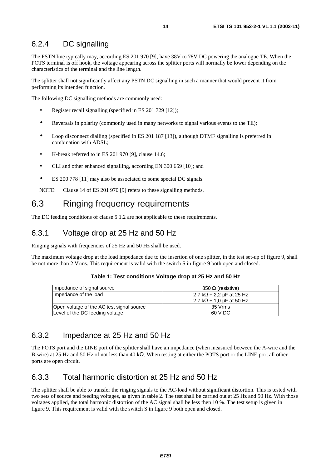### 6.2.4 DC signalling

The PSTN line typically may, according ES 201 970 [9], have 38V to 78V DC powering the analogue TE. When the POTS terminal is off hook, the voltage appearing across the splitter ports will normally be lower depending on the characteristics of the terminal and the line length.

The splitter shall not significantly affect any PSTN DC signalling in such a manner that would prevent it from performing its intended function.

The following DC signalling methods are commonly used:

- Register recall signalling (specified in ES 201 729 [12]);
- Reversals in polarity (commonly used in many networks to signal various events to the TE);
- Loop disconnect dialling (specified in ES 201 187 [13]), although DTMF signalling is preferred in combination with ADSL;
- K-break referred to in ES 201 970 [9], clause 14.6;
- CLI and other enhanced signalling, according EN 300 659 [10]; and
- ES 200 778 [11] may also be associated to some special DC signals.

NOTE: Clause 14 of ES 201 970 [9] refers to these signalling methods.

# 6.3 Ringing frequency requirements

The DC feeding conditions of clause 5.1.2 are not applicable to these requirements.

### 6.3.1 Voltage drop at 25 Hz and 50 Hz

Ringing signals with frequencies of 25 Hz and 50 Hz shall be used.

The maximum voltage drop at the load impedance due to the insertion of one splitter, in the test set-up of figure 9, shall be not more than 2 Vrms. This requirement is valid with the switch S in figure 9 both open and closed.

| Impedance of signal source                | $850 \Omega$ (resistive)              |
|-------------------------------------------|---------------------------------------|
| Impedance of the load                     | 2,7 k $\Omega$ + 2,2 $\mu$ F at 25 Hz |
|                                           | 2.7 k $\Omega$ + 1.0 $\mu$ F at 50 Hz |
| Open voltage of the AC test signal source | 35 Vrms                               |
| Level of the DC feeding voltage           | 60 V DC                               |

#### **Table 1: Test conditions Voltage drop at 25 Hz and 50 Hz**

### 6.3.2 Impedance at 25 Hz and 50 Hz

The POTS port and the LINE port of the splitter shall have an impedance (when measured between the A-wire and the B-wire) at 25 Hz and 50 Hz of not less than 40 kΩ. When testing at either the POTS port or the LINE port all other ports are open circuit.

## 6.3.3 Total harmonic distortion at 25 Hz and 50 Hz

The splitter shall be able to transfer the ringing signals to the AC-load without significant distortion. This is tested with two sets of source and feeding voltages, as given in table 2. The test shall be carried out at 25 Hz and 50 Hz. With those voltages applied, the total harmonic distortion of the AC signal shall be less then 10 %. The test setup is given in figure 9. This requirement is valid with the switch S in figure 9 both open and closed.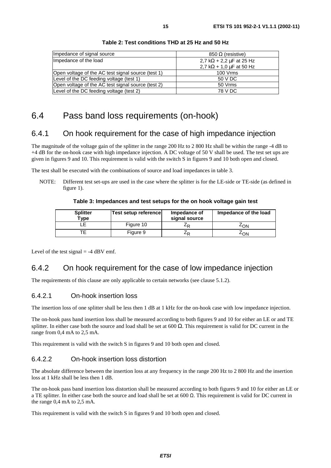| Impedance of signal source                         | 850 Ω (resistive)                     |
|----------------------------------------------------|---------------------------------------|
| Impedance of the load                              | 2,7 k $\Omega$ + 2,2 $\mu$ F at 25 Hz |
|                                                    | 2,7 k $\Omega$ + 1,0 $\mu$ F at 50 Hz |
| Open voltage of the AC test signal source (test 1) | 100 Vrms                              |
| Level of the DC feeding voltage (test 1)           | 50 V DC                               |
| Open voltage of the AC test signal source (test 2) | 50 Vrms                               |
| Level of the DC feeding voltage (test 2)           | 78 V DC                               |

#### **Table 2: Test conditions THD at 25 Hz and 50 Hz**

# 6.4 Pass band loss requirements (on-hook)

### 6.4.1 On hook requirement for the case of high impedance injection

The magnitude of the voltage gain of the splitter in the range 200 Hz to 2 800 Hz shall be within the range -4 dB to +4 dB for the on-hook case with high impedance injection. A DC voltage of 50 V shall be used. The test set ups are given in figures 9 and 10. This requirement is valid with the switch S in figures 9 and 10 both open and closed.

The test shall be executed with the combinations of source and load impedances in table 3.

NOTE: Different test set-ups are used in the case where the splitter is for the LE-side or TE-side (as defined in figure 1).

#### **Table 3: Impedances and test setups for the on hook voltage gain test**

| <b>Splitter</b><br>Type | Test setup reference | Impedance of<br>signal source | Impedance of the load |
|-------------------------|----------------------|-------------------------------|-----------------------|
|                         | Figure 10            | ∠⊳                            | 4 <sub>ON</sub>       |
|                         | Figure 9             | ∠⊳                            | ∠ON                   |

Level of the test signal  $= -4$  dBV emf.

### 6.4.2 On hook requirement for the case of low impedance injection

The requirements of this clause are only applicable to certain networks (see clause 5.1.2).

#### 6.4.2.1 On-hook insertion loss

The insertion loss of one splitter shall be less then 1 dB at 1 kHz for the on-hook case with low impedance injection.

The on-hook pass band insertion loss shall be measured according to both figures 9 and 10 for either an LE or and TE splitter. In either case both the source and load shall be set at 600  $\Omega$ . This requirement is valid for DC current in the range from 0,4 mA to 2,5 mA.

This requirement is valid with the switch S in figures 9 and 10 both open and closed.

#### 6.4.2.2 On-hook insertion loss distortion

The absolute difference between the insertion loss at any frequency in the range 200 Hz to 2 800 Hz and the insertion loss at 1 kHz shall be less then 1 dB.

The on-hook pass band insertion loss distortion shall be measured according to both figures 9 and 10 for either an LE or a TE splitter. In either case both the source and load shall be set at  $600 \Omega$ . This requirement is valid for DC current in the range 0,4 mA to 2,5 mA.

This requirement is valid with the switch S in figures 9 and 10 both open and closed.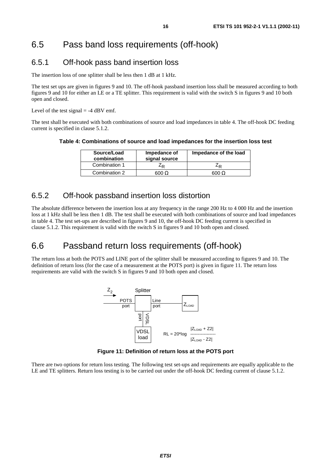# 6.5 Pass band loss requirements (off-hook)

## 6.5.1 Off-hook pass band insertion loss

The insertion loss of one splitter shall be less then 1 dB at 1 kHz.

The test set ups are given in figures 9 and 10. The off-hook passband insertion loss shall be measured according to both figures 9 and 10 for either an LE or a TE splitter. This requirement is valid with the switch S in figures 9 and 10 both open and closed.

Level of the test signal  $=$  -4 dBV emf.

The test shall be executed with both combinations of source and load impedances in table 4. The off-hook DC feeding current is specified in clause 5.1.2.

**Table 4: Combinations of source and load impedances for the insertion loss test** 

| Source/Load<br>combination | Impedance of<br>signal source | Impedance of the load |
|----------------------------|-------------------------------|-----------------------|
| Combination 1              | –R                            |                       |
| Combination 2              | 600 Q                         | 600 $\Omega$          |

### 6.5.2 Off-hook passband insertion loss distortion

The absolute difference between the insertion loss at any frequency in the range 200 Hz to 4 000 Hz and the insertion loss at 1 kHz shall be less then 1 dB. The test shall be executed with both combinations of source and load impedances in table 4. The test set-ups are described in figures 9 and 10, the off-hook DC feeding current is specified in clause 5.1.2. This requirement is valid with the switch S in figures 9 and 10 both open and closed.

# 6.6 Passband return loss requirements (off-hook)

The return loss at both the POTS and LINE port of the splitter shall be measured according to figures 9 and 10. The definition of return loss (for the case of a measurement at the POTS port) is given in figure 11. The return loss requirements are valid with the switch S in figures 9 and 10 both open and closed.



**Figure 11: Definition of return loss at the POTS port** 

There are two options for return loss testing. The following test set-ups and requirements are equally applicable to the LE and TE splitters. Return loss testing is to be carried out under the off-hook DC feeding current of clause 5.1.2.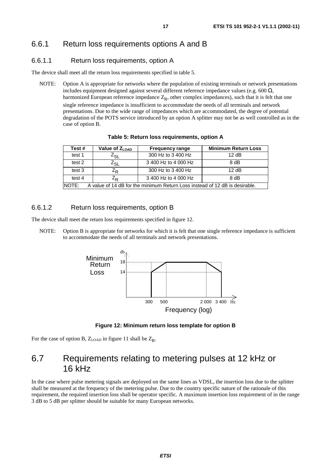#### 6.6.1.1 Return loss requirements, option A

The device shall meet all the return loss requirements specified in table 5.

NOTE: Option A is appropriate for networks where the population of existing terminals or network presentations includes equipment designed against several different reference impedance values (e.g. 600  $\Omega$ , harmonized European reference impedance  $Z_R$ , other complex impedances), such that it is felt that one single reference impedance is insufficient to accommodate the needs of all terminals and network presentations. Due to the wide range of impedances which are accommodated, the degree of potential degradation of the POTS service introduced by an option A splitter may not be as well controlled as in the case of option B.

| Test #                                                                               | Value of $Z_{\text{LOAD}}$ | <b>Frequency range</b>       | <b>Minimum Return Loss</b> |
|--------------------------------------------------------------------------------------|----------------------------|------------------------------|----------------------------|
| test 1                                                                               | Z <sub>SL</sub>            | 300 Hz to 3 400 Hz           | 12 dB                      |
| test 2                                                                               | Z <sub>SL</sub>            | 3 400 Hz to 4 000 Hz         | 8 dB                       |
| test 3                                                                               | Z <sub>R</sub>             | 300 Hz to 3 400 Hz           | 12 dB                      |
| test 4                                                                               | Z <sub>R</sub>             | 3 400 Hz to 4 000 Hz<br>8 dB |                            |
| NOTE:<br>A value of 14 dB for the minimum Return Loss instead of 12 dB is desirable. |                            |                              |                            |

**Table 5: Return loss requirements, option A** 

#### 6.6.1.2 Return loss requirements, option B

The device shall meet the return loss requirements specified in figure 12.

NOTE: Option B is appropriate for networks for which it is felt that one single reference impedance is sufficient to accommodate the needs of all terminals and network presentations.



**Figure 12: Minimum return loss template for option B** 

For the case of option B,  $Z_{LOAD}$  in figure 11 shall be  $Z_R$ .

# 6.7 Requirements relating to metering pulses at 12 kHz or 16 kHz

In the case where pulse metering signals are deployed on the same lines as VDSL, the insertion loss due to the splitter shall be measured at the frequency of the metering pulse. Due to the country specific nature of the rationale of this requirement, the required insertion loss shall be operator specific. A maximum insertion loss requirement of in the range 3 dB to 5 dB per splitter should be suitable for many European networks.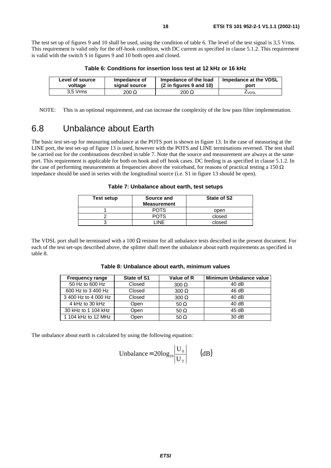The test set up of figures 9 and 10 shall be used, using the condition of table 6. The level of the test signal is 3,5 Vrms. This requirement is valid only for the off-hook condition, with DC current as specified in clause 5.1.2. This requirement is valid with the switch S in figures 9 and 10 both open and closed.

| Level of source | Impedance of  | Impedance of the load   | Impedance at the VDSL |
|-----------------|---------------|-------------------------|-----------------------|
| voltage         | signal source | (Z in figures 9 and 10) | port                  |
| 3.5 Vrms        | $200 \Omega$  | $200 \Omega$            | ∠∨DSL                 |

**Table 6: Conditions for insertion loss test at 12 kHz or 16 kHz** 

NOTE: This is an optional requirement, and can increase the complexity of the low pass filter implementation.

# 6.8 Unbalance about Earth

The basic test set-up for measuring unbalance at the POTS port is shown in figure 13. In the case of measuring at the LINE port, the test set-up of figure 13 is used, however with the POTS and LINE terminations reversed. The test shall be carried out for the combinations described in table 7. Note that the source and measurement are always at the same port. This requirement is applicable for both on hook and off hook cases. DC feeding is as specified in clause 5.1.2. In the case of performing measurements at frequencies above the voiceband, for reasons of practical testing a 150  $\Omega$ impedance should be used in series with the longitudinal source (i.e. S1 in figure 13 should be open).

**Table 7: Unbalance about earth, test setups** 

| Test setup | Source and<br><b>Measurement</b> | State of S2 |
|------------|----------------------------------|-------------|
|            |                                  | open        |
|            | −∩TS                             | closed      |
|            | INF                              | closed      |

The VDSL port shall be terminated with a 100  $\Omega$  resistor for all unbalance tests described in the present document. For each of the test set-ups described above, the splitter shall meet the unbalance about earth requirements as specified in table 8.

| Table 8: Unbalance about earth, minimum values |  |
|------------------------------------------------|--|
|------------------------------------------------|--|

| <b>Frequency range</b> | State of S1 | Value of R   | <b>Minimum Unbalance value</b> |
|------------------------|-------------|--------------|--------------------------------|
| 50 Hz to 600 Hz        | Closed      | $300 \Omega$ | 40dB                           |
| 600 Hz to 3 400 Hz     | Closed      | $300 \Omega$ | 46 dB                          |
| 3 400 Hz to 4 000 Hz   | Closed      | $300 \Omega$ | 40dB                           |
| 4 kHz to 30 kHz        | Open        | 50 $\Omega$  | 40dB                           |
| 30 kHz to 1 104 kHz    | Open        | 50 $\Omega$  | 45dB                           |
| 1 104 kHz to 12 MHz    | Open        | 50 $\Omega$  | 30 dB                          |

The unbalance about earth is calculated by using the following equation:

Unbalance = 
$$
20\log_{10} \left| \frac{U_0}{U_T} \right|
$$
 (dB)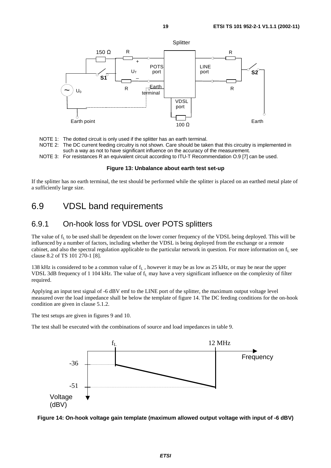

NOTE 1: The dotted circuit is only used if the splitter has an earth terminal.

- NOTE 2: The DC current feeding circuitry is not shown. Care should be taken that this circuitry is implemented in such a way as not to have significant influence on the accuracy of the measurement.
- NOTE 3: For resistances R an equivalent circuit according to ITU-T Recommendation O.9 [7] can be used.

#### **Figure 13: Unbalance about earth test set-up**

If the splitter has no earth terminal, the test should be performed while the splitter is placed on an earthed metal plate of a sufficiently large size.

# 6.9 VDSL band requirements

### 6.9.1 On-hook loss for VDSL over POTS splitters

The value of  $f_L$  to be used shall be dependent on the lower corner frequency of the VDSL being deployed. This will be influenced by a number of factors, including whether the VDSL is being deployed from the exchange or a remote cabinet, and also the spectral regulation applicable to the particular network in question. For more information on  $f<sub>L</sub>$  see clause 8.2 of TS 101 270-1 [8].

138 kHz is considered to be a common value of  $f<sub>L</sub>$ , however it may be as low as 25 kHz, or may be near the upper VDSL 3dB frequency of 1 104 kHz. The value of  $f_L$  may have a very significant influence on the complexity of filter required.

Applying an input test signal of -6 dBV emf to the LINE port of the splitter, the maximum output voltage level measured over the load impedance shall be below the template of figure 14. The DC feeding conditions for the on-hook condition are given in clause 5.1.2.

The test setups are given in figures 9 and 10.

The test shall be executed with the combinations of source and load impedances in table 9.



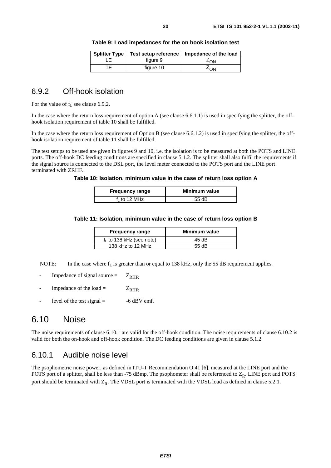|           | Splitter Type   Test setup reference   Impedance of the load |
|-----------|--------------------------------------------------------------|
| figure 9  | ∸on                                                          |
| figure 10 | ∸∩N                                                          |

# 6.9.2 Off-hook isolation

For the value of  $f<sub>L</sub>$  see clause 6.9.2.

In the case where the return loss requirement of option A (see clause 6.6.1.1) is used in specifying the splitter, the offhook isolation requirement of table 10 shall be fulfilled.

In the case where the return loss requirement of Option B (see clause 6.6.1.2) is used in specifying the splitter, the offhook isolation requirement of table 11 shall be fulfilled.

The test setups to be used are given in figures 9 and 10, i.e. the isolation is to be measured at both the POTS and LINE ports. The off-hook DC feeding conditions are specified in clause 5.1.2. The splitter shall also fulfil the requirements if the signal source is connected to the DSL port, the level meter connected to the POTS port and the LINE port terminated with ZRHF.

#### **Table 10: Isolation, minimum value in the case of return loss option A**

| <b>Frequency range</b>   | Minimum value |
|--------------------------|---------------|
| f <sub>1</sub> to 12 MHz | 55 $dB$       |

#### **Table 11: Isolation, minimum value in the case of return loss option B**

| <b>Frequency range</b>      | Minimum value |
|-----------------------------|---------------|
| $f_L$ to 138 kHz (see note) | 45 dB         |
| 138 kHz to 12 MHz           | 55 $dB$       |

NOTE: In the case where  $f<sub>L</sub>$  is greater than or equal to 138 kHz, only the 55 dB requirement applies.

- Impedance of signal source =  $Z_{RHF}$ .
- impedance of the load =  $Z_{RHF}$ .
- level of the test signal  $=$  -6 dBV emf.

# 6.10 Noise

The noise requirements of clause 6.10.1 are valid for the off-hook condition. The noise requirements of clause 6.10.2 is valid for both the on-hook and off-hook condition. The DC feeding conditions are given in clause 5.1.2.

## 6.10.1 Audible noise level

The psophometric noise power, as defined in ITU-T Recommendation O.41 [6], measured at the LINE port and the POTS port of a splitter, shall be less than -75 dBmp. The psophometer shall be referenced to  $Z_R$ . LINE port and POTS port should be terminated with  $Z_R$ . The VDSL port is terminated with the VDSL load as defined in clause 5.2.1.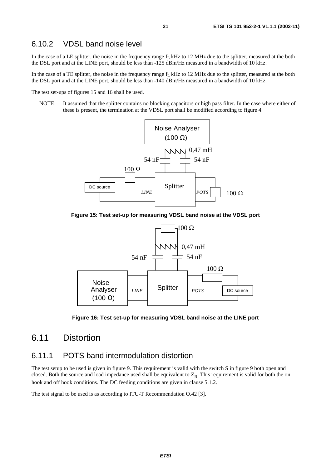## 6.10.2 VDSL band noise level

In the case of a LE splitter, the noise in the frequency range  $f_L$  kHz to 12 MHz due to the splitter, measured at the both the DSL port and at the LINE port, should be less than -125 dBm/Hz measured in a bandwidth of 10 kHz.

In the case of a TE splitter, the noise in the frequency range  $f_L$  kHz to 12 MHz due to the splitter, measured at the both the DSL port and at the LINE port, should be less than -140 dBm/Hz measured in a bandwidth of 10 kHz.

The test set-ups of figures 15 and 16 shall be used.

NOTE: It assumed that the splitter contains no blocking capacitors or high pass filter. In the case where either of these is present, the termination at the VDSL port shall be modified according to figure 4.



**Figure 15: Test set-up for measuring VDSL band noise at the VDSL port** 



**Figure 16: Test set-up for measuring VDSL band noise at the LINE port** 

# 6.11 Distortion

### 6.11.1 POTS band intermodulation distortion

The test setup to be used is given in figure 9. This requirement is valid with the switch S in figure 9 both open and closed. Both the source and load impedance used shall be equivalent to  $Z_R$ . This requirement is valid for both the onhook and off hook conditions. The DC feeding conditions are given in clause 5.1.2.

The test signal to be used is as according to ITU-T Recommendation O.42 [3].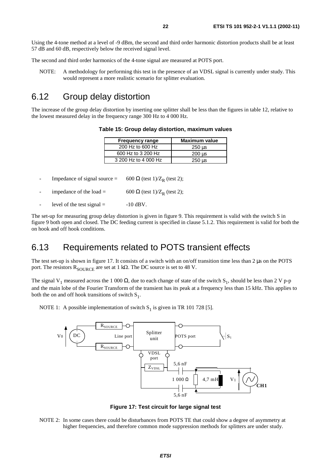Using the 4-tone method at a level of -9 dBm, the second and third order harmonic distortion products shall be at least 57 dB and 60 dB, respectively below the received signal level.

The second and third order harmonics of the 4-tone signal are measured at POTS port.

NOTE: A methodology for performing this test in the presence of an VDSL signal is currently under study. This would represent a more realistic scenario for splitter evaluation.

# 6.12 Group delay distortion

The increase of the group delay distortion by inserting one splitter shall be less than the figures in table 12, relative to the lowest measured delay in the frequency range 300 Hz to 4 000 Hz.

| <b>Frequency range</b> | <b>Maximum value</b>      |
|------------------------|---------------------------|
| 200 Hz to 600 Hz       | 250 us                    |
| 600 Hz to 3 200 Hz     | $200 \text{ }\mu\text{s}$ |
| 3 200 Hz to 4 000 Hz   | $250$ us                  |

**Table 15: Group delay distortion, maximum values** 

Impedance of signal source = 600  $\Omega$  (test 1)/Z<sub>R</sub> (test 2);

impedance of the load = 600 Ω (test 1)/ $Z_R$  (test 2);

level of the test signal  $=$  -10 dBV.

The set-up for measuring group delay distortion is given in figure 9. This requirement is valid with the switch S in figure 9 both open and closed. The DC feeding current is specified in clause 5.1.2. This requirement is valid for both the on hook and off hook conditions.

# 6.13 Requirements related to POTS transient effects

The test set-up is shown in figure 17. It consists of a switch with an on/off transition time less than 2 µs on the POTS port. The resistors  $R_{\text{SOLIRCE}}$  are set at 1 k $\Omega$ . The DC source is set to 48 V.

The signal V<sub>1</sub> measured across the 1 000  $\Omega$ , due to each change of state of the switch S<sub>1</sub>, should be less than 2 V p-p and the main lobe of the Fourier Transform of the transient has its peak at a frequency less than 15 kHz. This applies to both the on and off hook transitions of switch  $S_1$ .

NOTE 1: A possible implementation of switch  $S_1$  is given in TR 101 728 [5].



**Figure 17: Test circuit for large signal test** 

NOTE 2: In some cases there could be disturbances from POTS TE that could show a degree of asymmetry at higher frequencies, and therefore common mode suppression methods for splitters are under study.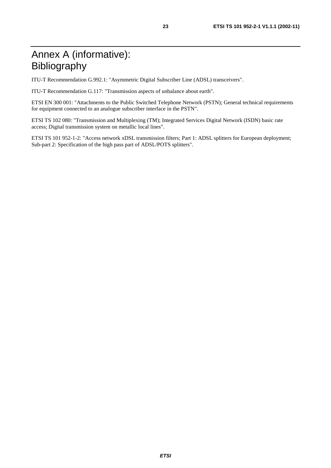# Annex A (informative): Bibliography

ITU-T Recommendation G.992.1: "Asymmetric Digital Subscriber Line (ADSL) transceivers".

ITU-T Recommendation G.117: "Transmission aspects of unbalance about earth".

ETSI EN 300 001: "Attachments to the Public Switched Telephone Network (PSTN); General technical requirements for equipment connected to an analogue subscriber interface in the PSTN".

ETSI TS 102 080: "Transmission and Multiplexing (TM); Integrated Services Digital Network (ISDN) basic rate access; Digital transmission system on metallic local lines".

ETSI TS 101 952-1-2: "Access network xDSL transmission filters; Part 1: ADSL splitters for European deployment; Sub-part 2: Specification of the high pass part of ADSL/POTS splitters".